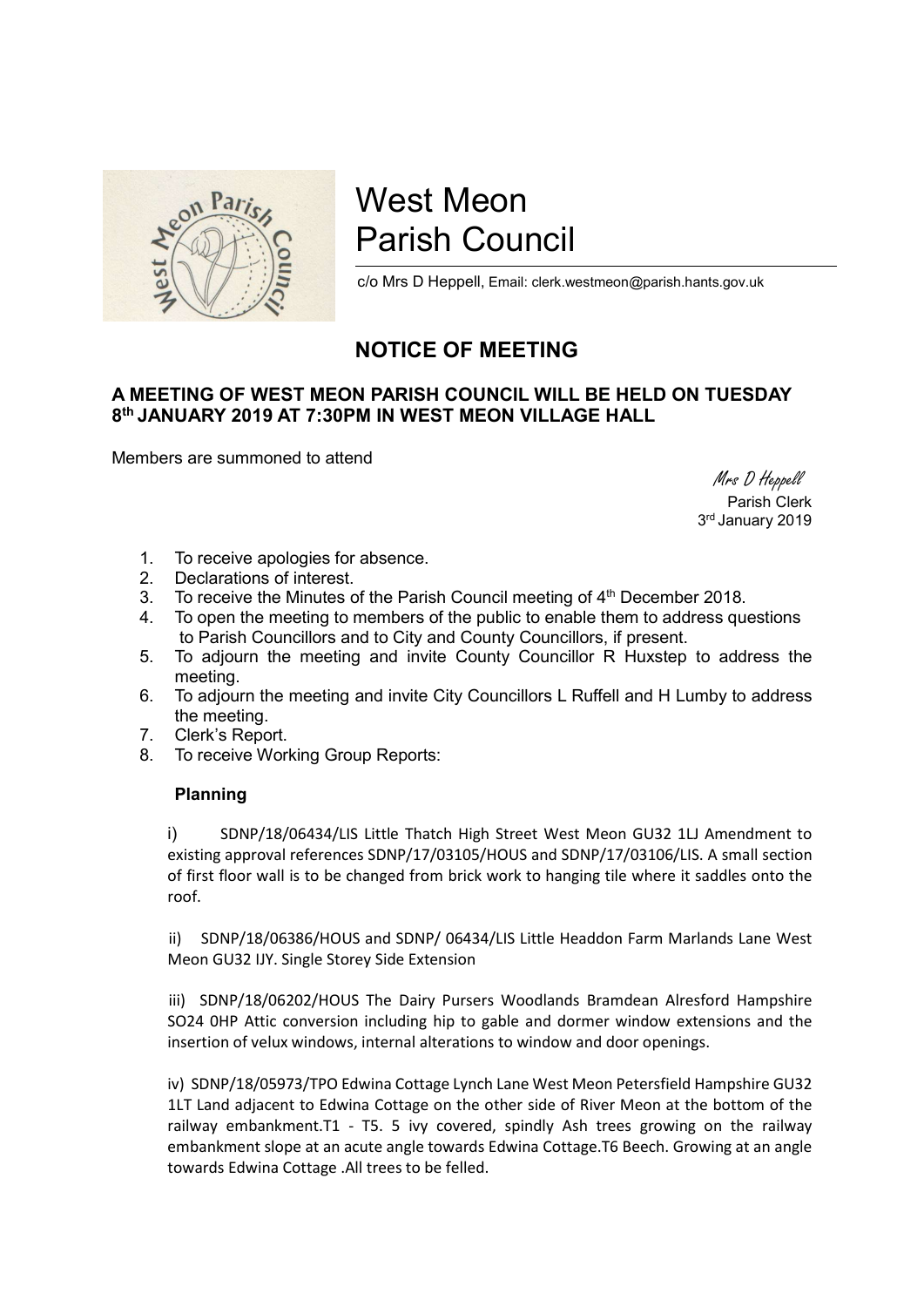

West Meon Parish Council

c/o Mrs D Heppell, Email: clerk.westmeon@parish.hants.gov.uk

# NOTICE OF MEETING

# A MEETING OF WEST MEON PARISH COUNCIL WILL BE HELD ON TUESDAY 8<sup>th</sup> JANUARY 2019 AT 7:30PM IN WEST MEON VILLAGE HALL

Members are summoned to attend

 Mrs D Heppell Parish Clerk 3 rd January 2019

- 1. To receive apologies for absence.
- 2. Declarations of interest.
- 3. To receive the Minutes of the Parish Council meeting of  $4<sup>th</sup>$  December 2018.
- 4. To open the meeting to members of the public to enable them to address questions to Parish Councillors and to City and County Councillors, if present.
- 5. To adjourn the meeting and invite County Councillor R Huxstep to address the meeting.
- 6. To adjourn the meeting and invite City Councillors L Ruffell and H Lumby to address the meeting.
- 7. Clerk's Report.
- 8. To receive Working Group Reports:

## Planning

i) SDNP/18/06434/LIS Little Thatch High Street West Meon GU32 1LJ Amendment to existing approval references SDNP/17/03105/HOUS and SDNP/17/03106/LIS. A small section of first floor wall is to be changed from brick work to hanging tile where it saddles onto the roof.

ii) SDNP/18/06386/HOUS and SDNP/ 06434/LIS Little Headdon Farm Marlands Lane West Meon GU32 IJY. Single Storey Side Extension

iii) SDNP/18/06202/HOUS The Dairy Pursers Woodlands Bramdean Alresford Hampshire SO24 0HP Attic conversion including hip to gable and dormer window extensions and the insertion of velux windows, internal alterations to window and door openings.

iv) SDNP/18/05973/TPO Edwina Cottage Lynch Lane West Meon Petersfield Hampshire GU32 1LT Land adjacent to Edwina Cottage on the other side of River Meon at the bottom of the railway embankment.T1 - T5. 5 ivy covered, spindly Ash trees growing on the railway embankment slope at an acute angle towards Edwina Cottage.T6 Beech. Growing at an angle towards Edwina Cottage .All trees to be felled.